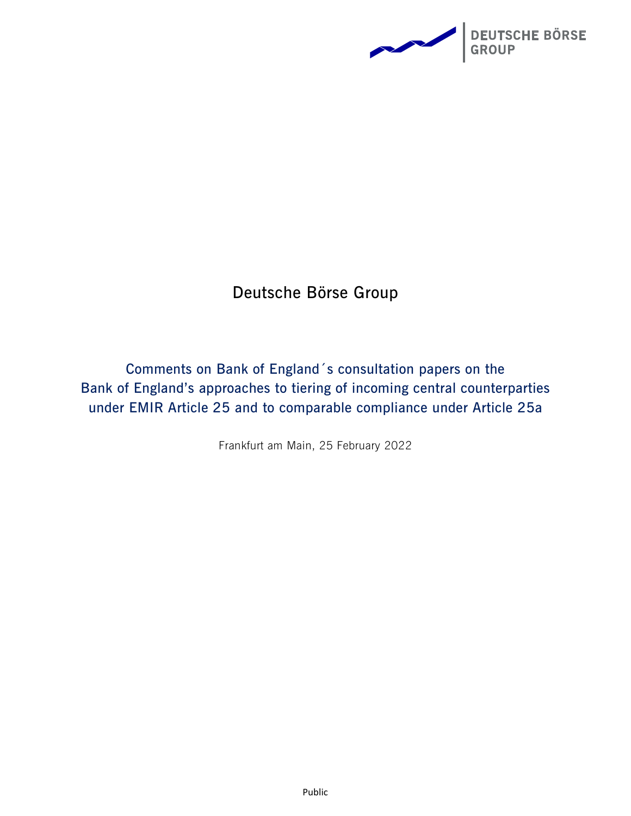

## **Deutsche Börse Group**

**Comments on Bank of England´s consultation papers on the Bank of England's approaches to tiering of incoming central counterparties under EMIR Article 25 and to comparable compliance under Article 25a** 

Frankfurt am Main, 25 February 2022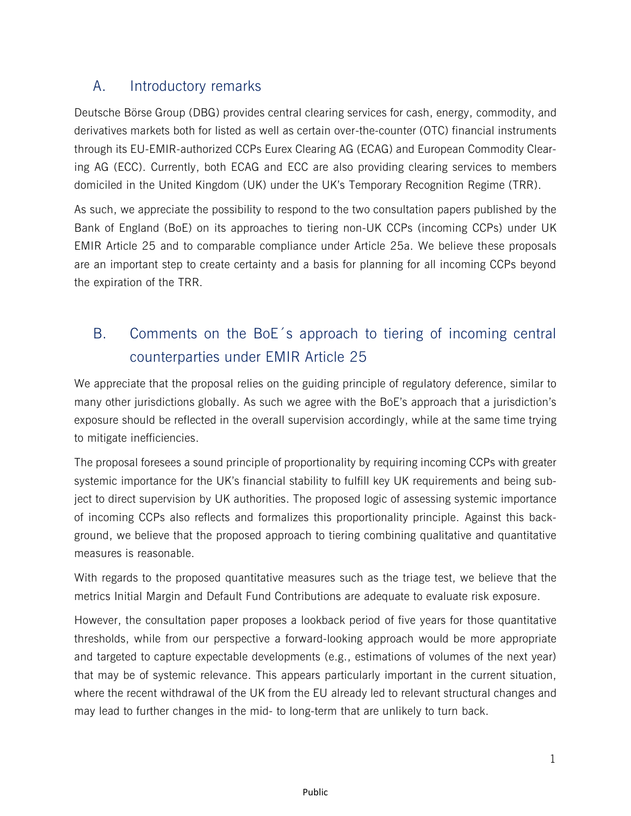## A. Introductory remarks

Deutsche Börse Group (DBG) provides central clearing services for cash, energy, commodity, and derivatives markets both for listed as well as certain over-the-counter (OTC) financial instruments through its EU-EMIR-authorized CCPs Eurex Clearing AG (ECAG) and European Commodity Clearing AG (ECC). Currently, both ECAG and ECC are also providing clearing services to members domiciled in the United Kingdom (UK) under the UK's Temporary Recognition Regime (TRR).

As such, we appreciate the possibility to respond to the two consultation papers published by the Bank of England (BoE) on its approaches to tiering non-UK CCPs (incoming CCPs) under UK EMIR Article 25 and to comparable compliance under Article 25a. We believe these proposals are an important step to create certainty and a basis for planning for all incoming CCPs beyond the expiration of the TRR.

## B. Comments on the BoE´s approach to tiering of incoming central counterparties under EMIR Article 25

We appreciate that the proposal relies on the guiding principle of regulatory deference, similar to many other jurisdictions globally. As such we agree with the BoE's approach that a jurisdiction's exposure should be reflected in the overall supervision accordingly, while at the same time trying to mitigate inefficiencies.

The proposal foresees a sound principle of proportionality by requiring incoming CCPs with greater systemic importance for the UK's financial stability to fulfill key UK requirements and being subject to direct supervision by UK authorities. The proposed logic of assessing systemic importance of incoming CCPs also reflects and formalizes this proportionality principle. Against this background, we believe that the proposed approach to tiering combining qualitative and quantitative measures is reasonable.

With regards to the proposed quantitative measures such as the triage test, we believe that the metrics Initial Margin and Default Fund Contributions are adequate to evaluate risk exposure.

However, the consultation paper proposes a lookback period of five years for those quantitative thresholds, while from our perspective a forward-looking approach would be more appropriate and targeted to capture expectable developments (e.g., estimations of volumes of the next year) that may be of systemic relevance. This appears particularly important in the current situation, where the recent withdrawal of the UK from the EU already led to relevant structural changes and may lead to further changes in the mid- to long-term that are unlikely to turn back.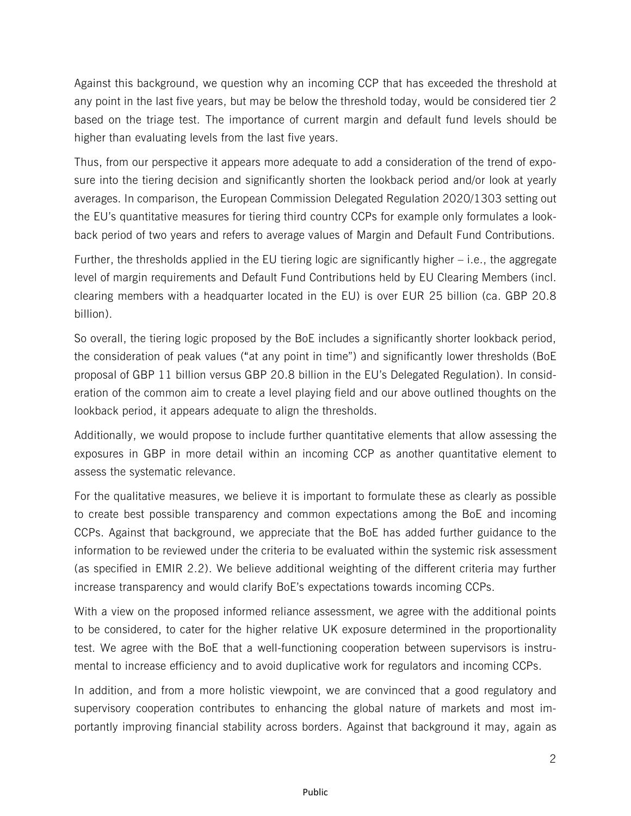Against this background, we question why an incoming CCP that has exceeded the threshold at any point in the last five years, but may be below the threshold today, would be considered tier 2 based on the triage test. The importance of current margin and default fund levels should be higher than evaluating levels from the last five years.

Thus, from our perspective it appears more adequate to add a consideration of the trend of exposure into the tiering decision and significantly shorten the lookback period and/or look at yearly averages. In comparison, the European Commission Delegated Regulation 2020/1303 setting out the EU's quantitative measures for tiering third country CCPs for example only formulates a lookback period of two years and refers to average values of Margin and Default Fund Contributions.

Further, the thresholds applied in the EU tiering logic are significantly higher – i.e., the aggregate level of margin requirements and Default Fund Contributions held by EU Clearing Members (incl. clearing members with a headquarter located in the EU) is over EUR 25 billion (ca. GBP 20.8 billion).

So overall, the tiering logic proposed by the BoE includes a significantly shorter lookback period, the consideration of peak values ("at any point in time") and significantly lower thresholds (BoE proposal of GBP 11 billion versus GBP 20.8 billion in the EU's Delegated Regulation). In consideration of the common aim to create a level playing field and our above outlined thoughts on the lookback period, it appears adequate to align the thresholds.

Additionally, we would propose to include further quantitative elements that allow assessing the exposures in GBP in more detail within an incoming CCP as another quantitative element to assess the systematic relevance.

For the qualitative measures, we believe it is important to formulate these as clearly as possible to create best possible transparency and common expectations among the BoE and incoming CCPs. Against that background, we appreciate that the BoE has added further guidance to the information to be reviewed under the criteria to be evaluated within the systemic risk assessment (as specified in EMIR 2.2). We believe additional weighting of the different criteria may further increase transparency and would clarify BoE's expectations towards incoming CCPs.

With a view on the proposed informed reliance assessment, we agree with the additional points to be considered, to cater for the higher relative UK exposure determined in the proportionality test. We agree with the BoE that a well-functioning cooperation between supervisors is instrumental to increase efficiency and to avoid duplicative work for regulators and incoming CCPs.

In addition, and from a more holistic viewpoint, we are convinced that a good regulatory and supervisory cooperation contributes to enhancing the global nature of markets and most importantly improving financial stability across borders. Against that background it may, again as